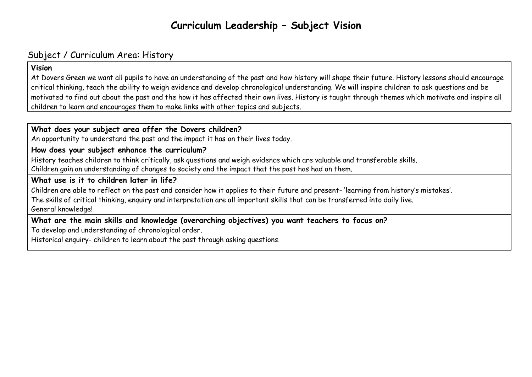# **Curriculum Leadership – Subject Vision**

## Subject / Curriculum Area: History

#### **Vision**

At Dovers Green we want all pupils to have an understanding of the past and how history will shape their future. History lessons should encourage critical thinking, teach the ability to weigh evidence and develop chronological understanding. We will inspire children to ask questions and be motivated to find out about the past and the how it has affected their own lives. History is taught through themes which motivate and inspire all children to learn and encourages them to make links with other topics and subjects.

### **What does your subject area offer the Dovers children?**

An opportunity to understand the past and the impact it has on their lives today.

#### **How does your subject enhance the curriculum?**

History teaches children to think critically, ask questions and weigh evidence which are valuable and transferable skills. Children gain an understanding of changes to society and the impact that the past has had on them.

### **What use is it to children later in life?**

Children are able to reflect on the past and consider how it applies to their future and present- 'learning from history's mistakes'.

The skills of critical thinking, enquiry and interpretation are all important skills that can be transferred into daily live. General knowledge!

## **What are the main skills and knowledge (overarching objectives) you want teachers to focus on?**

To develop and understanding of chronological order.

Historical enquiry- children to learn about the past through asking questions.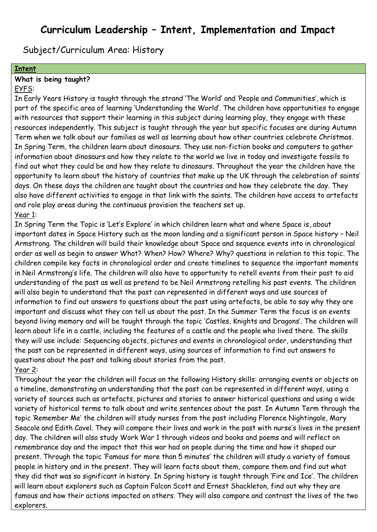## **Curriculum Leadership – Intent, Implementation and Impact**

Subject/Curriculum Area: History

#### **Intent**

#### **What is being taught?**

#### EYFS:

In Early Years History is taught through the strand 'The World' and 'People and Communities', which is part of the specific area of learning 'Understanding the World'. The children have opportunities to engage with resources that support their learning in this subject during learning play, they engage with these resources independently. This subject is taught through the year but specific focuses are during Autumn Term when we talk about our families as well as learning about how other countries celebrate Christmas. In Spring Term, the children learn about dinosaurs. They use non-fiction books and computers to gather information about dinosaurs and how they relate to the world we live in today and investigate fossils to find out what they could be and how they relate to dinosaurs. Throughout the year the children have the opportunity to learn about the history of countries that make up the UK through the celebration of saints' days. On these days the children are taught about the countries and how they celebrate the day. They also have different activities to engage in that link with the saints. The children have access to artefacts and role play areas during the continuous provision the teachers set up. Year 1:

In Spring Term the Topic is 'Let's Explore' in which children learn what and where Space is, about important dates in Space History such as the moon landing and a significant person in Space history – Neil Armstrong. The children will build their knowledge about Space and sequence events into in chronological order as well as begin to answer What? When? How? Where? Why? questions in relation to this topic. The children compile key facts in chronological order and create timelines to sequence the important moments in Neil Armstrong's life. The children will also have to opportunity to retell events from their past to aid understanding of the past as well as pretend to be Neil Armstrong retelling his past events. The children will also begin to understand that the past can represented in different ways and use sources of information to find out answers to questions about the past using artefacts, be able to say why they are important and discuss what they can tell us about the past. In the Summer Term the focus is on events beyond living memory and will be taught through the topic 'Castles, Knights and Dragons'. The children will learn about life in a castle, including the features of a castle and the people who lived there. The skills they will use include: Sequencing objects, pictures and events in chronological order, understanding that the past can be represented in different ways, using sources of information to find out answers to questions about the past and talking about stories from the past. Year 2:

Throughout the year the children will focus on the following History skills: arranging events or objects on a timeline, demonstrating an understanding that the past can be represented in different ways, using a variety of sources such as artefacts, pictures and stories to answer historical questions and using a wide variety of historical terms to talk about and write sentences about the past. In Autumn Term through the topic 'Remember Me' the children will study nurses from the past including Florence Nightingale, Mary Seacole and Edith Cavel. They will compare their lives and work in the past with nurse's lives in the present day. The children will also study Work War 1 through videos and books and poems and will reflect on remembrance day and the impact that this war had on people during the time and how it shaped our present. Through the topic 'Famous for more than 5 minutes' the children will study a variety of famous people in history and in the present. They will learn facts about them, compare them and find out what they did that was so significant in history. In Spring history is taught through 'Fire and Ice'. The children will learn about explorers such as Captain Falcon Scott and Ernest Shackleton, find out why they are famous and how their actions impacted on others. They will also compare and contrast the lives of the two explorers.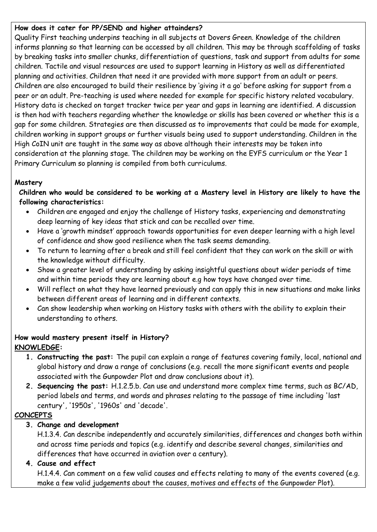### **How does it cater for PP/SEND and higher attainders?**

Quality First teaching underpins teaching in all subjects at Dovers Green. Knowledge of the children informs planning so that learning can be accessed by all children. This may be through scaffolding of tasks by breaking tasks into smaller chunks, differentiation of questions, task and support from adults for some children. Tactile and visual resources are used to support learning in History as well as differentiated planning and activities. Children that need it are provided with more support from an adult or peers. Children are also encouraged to build their resilience by 'giving it a go' before asking for support from a peer or an adult. Pre-teaching is used where needed for example for specific history related vocabulary. History data is checked on target tracker twice per year and gaps in learning are identified. A discussion is then had with teachers regarding whether the knowledge or skills has been covered or whether this is a gap for some children. Strategies are then discussed as to improvements that could be made for example, children working in support groups or further visuals being used to support understanding. Children in the High CoIN unit are taught in the same way as above although their interests may be taken into consideration at the planning stage. The children may be working on the EYFS curriculum or the Year 1 Primary Curriculum so planning is compiled from both curriculums.

#### **Mastery**

**Children who would be considered to be working at a Mastery level in History are likely to have the following characteristics:**

- Children are engaged and enjoy the challenge of History tasks, experiencing and demonstrating deep learning of key ideas that stick and can be recalled over time.
- Have a 'growth mindset' approach towards opportunities for even deeper learning with a high level of confidence and show good resilience when the task seems demanding.
- To return to learning after a break and still feel confident that they can work on the skill or with the knowledge without difficulty.
- Show a greater level of understanding by asking insightful questions about wider periods of time and within time periods they are learning about e.g how toys have changed over time.
- Will reflect on what they have learned previously and can apply this in new situations and make links between different areas of learning and in different contexts.
- Can show leadership when working on History tasks with others with the ability to explain their understanding to others.

#### **How would mastery present itself in History? KNOWLEDGE:**

- **1. Constructing the past:** The pupil can explain a range of features covering family, local, national and global history and draw a range of conclusions (e.g. recall the more significant events and people associated with the Gunpowder Plot and draw conclusions about it).
- **2. Sequencing the past:** H.1.2.5.b. Can use and understand more complex time terms, such as BC/AD, period labels and terms, and words and phrases relating to the passage of time including 'last century', '1950s', '1960s' and 'decade'.

## **CONCEPTS**

## **3. Change and development**

H.1.3.4. Can describe independently and accurately similarities, differences and changes both within and across time periods and topics (e.g. identify and describe several changes, similarities and differences that have occurred in aviation over a century).

## **4. Cause and effect**

H.1.4.4. Can comment on a few valid causes and effects relating to many of the events covered (e.g. make a few valid judgements about the causes, motives and effects of the Gunpowder Plot).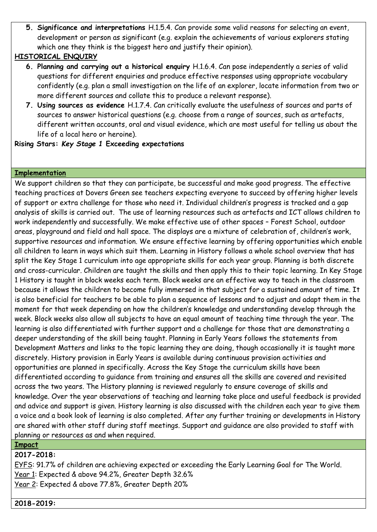**5. Significance and interpretations** H.1.5.4. Can provide some valid reasons for selecting an event, development or person as significant (e.g. explain the achievements of various explorers stating which one they think is the biggest hero and justify their opinion).

#### **HISTORICAL ENQUIRY**

- **6. Planning and carrying out a historical enquiry** H.1.6.4. Can pose independently a series of valid questions for different enquiries and produce effective responses using appropriate vocabulary confidently (e.g. plan a small investigation on the life of an explorer, locate information from two or more different sources and collate this to produce a relevant response).
- **7. Using sources as evidence** H.1.7.4. Can critically evaluate the usefulness of sources and parts of sources to answer historical questions (e.g. choose from a range of sources, such as artefacts, different written accounts, oral and visual evidence, which are most useful for telling us about the life of a local hero or heroine).

**Rising Stars:** *Key Stage 1* **Exceeding expectations**

#### **Implementation**

We support children so that they can participate, be successful and make good progress. The effective teaching practices at Dovers Green see teachers expecting everyone to succeed by offering higher levels of support or extra challenge for those who need it. Individual children's progress is tracked and a gap analysis of skills is carried out. The use of learning resources such as artefacts and ICT allows children to work independently and successfully. We make effective use of other spaces – Forest School, outdoor areas, playground and field and hall space. The displays are a mixture of celebration of, children's work, supportive resources and information. We ensure effective learning by offering opportunities which enable all children to learn in ways which suit them. Learning in History follows a whole school overview that has split the Key Stage 1 curriculum into age appropriate skills for each year group. Planning is both discrete and cross-curricular. Children are taught the skills and then apply this to their topic learning. In Key Stage 1 History is taught in block weeks each term. Block weeks are an effective way to teach in the classroom because it allows the children to become fully immersed in that subject for a sustained amount of time. It is also beneficial for teachers to be able to plan a sequence of lessons and to adjust and adapt them in the moment for that week depending on how the children's knowledge and understanding develop through the week. Block weeks also allow all subjects to have an equal amount of teaching time through the year. The learning is also differentiated with further support and a challenge for those that are demonstrating a deeper understanding of the skill being taught. Planning in Early Years follows the statements from Development Matters and links to the topic learning they are doing, though occasionally it is taught more discretely. History provision in Early Years is available during continuous provision activities and opportunities are planned in specifically. Across the Key Stage the curriculum skills have been differentiated according to guidance from training and ensures all the skills are covered and revisited across the two years. The History planning is reviewed regularly to ensure coverage of skills and knowledge. Over the year observations of teaching and learning take place and useful feedback is provided and advice and support is given. History learning is also discussed with the children each year to give them a voice and a book look of learning is also completed. After any further training or developments in History are shared with other staff during staff meetings. Support and guidance are also provided to staff with planning or resources as and when required.

**Impact**

**2017-2018:**

EYFS: 91.7% of children are achieving expected or exceeding the Early Learning Goal for The World. Year 1: Expected & above 94.2%, Greater Depth 32.6%

Year 2: Expected & above 77.8%, Greater Depth 20%

**2018-2019:**